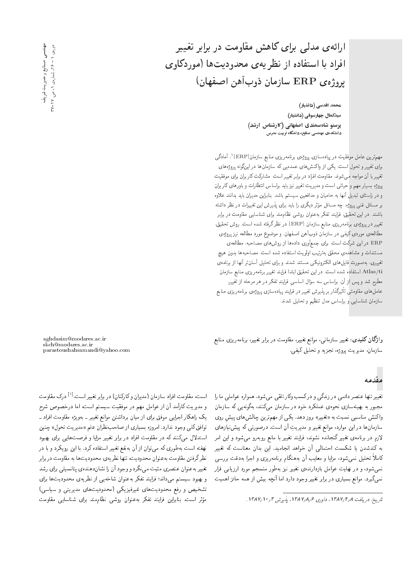محمد اقدسی (دانشیار) سیدکھال چھارسوقی (دانشیار) پرستو شاهسمندی اصفهانی (کارشناس ارشد) دانشکدهی مهندسی صنایع، دانشگاه تربیت مدرس

مهم ترین عامل موفقیت در پیادهسازی پروژهی برنامهریزی منابع سازمان(ERP)'، آمادگی برای تغییر و تحول است. یکی از واکنش های عمدهیی که سازمان ها در اینگونه پروژههای تغییر با آن مواجه میشوند، مقاومت افراد در برابر تغییر است. مشارکت کاربران برای موفقیت پروژه بسیار مهم و حیاتی است و مدیریت تغییر نیز باید براساس انتظارات و باورهای کاربران و در راستای تبدیل آنها به حامیان و مدافعین سیستم باشد. بنابراین مدیران باید بدانند علاوه بر مسائل فنی پروژه، چه مسائل مؤثر دیگری را باید برای پذیرش این تغمیرات در نظر داشته<br>. باشند. در این تحقیق، فرایند تفکر به عنوان روشی نظام.مند برای شناسایی مقاومت در برابر تغییر در پروژهی برنامه<code>ریزی</code> منابع سازمان (ERP) در نظر گرفته شده است. روش تحقیق، مطالعهى موردى كيفى در سازمان ذوبآهن اصفهان. و موضوع مورد مطالعه نيز پروژهى ERP در این شرکت است. برای جمعآوری دادهها از روشهای مصاحبه، مطالعهی مستندات و مشاهدهى محقق بهترتيب اولويت استفاده شده است. مصاحبهها بدون هيچ تغییری، بهصورت فایل های الکترونیکی مستند شدند و برای تحلیل أسانتر أنها از برنامهی Atlas/ti استفاده شده است. در این تحقیق ابتدا فرایند تغییر برنامه $\chi$ وین منابع سازمان  $\rm Atlas/ti$ مطرح شد و پس از آن، براساس سه سؤال اساسیِ فرایندِ تفکر در هر مرحله از تغییر.<br>. عاملهای مقاومتی تأثیرگذار بر پذیرش تغییر در فرایند پیادهسازی پروژهی برنامه<code>ریزی</code> منابع سازمان شناسایی و براساس مدل تنظیم و تحلیل شدند.

وا**ژگان کلیدی**: تغییر سازمانی، موانع تغییر، مقاومت در برابر تغییر، برنامه ریزی منابع سازمان، مديريت پروژه، تجزيه و تحليل كيفي.

#### مقدمه

تغییر تنها عنصر دائمی در زندگی و در کسب وکار تلقی میشود. همواره عواملی ما را مجبور به بهینهسازی نحوهی عملکرد خود در سازمان مهکنند، بهگونهیی که سازمان واکنش مناسبی نسبت به «تغییر» بروز دهد. یکی از مهم ترین چالش های پیش روی سازمان ها در این موارد، موانع تغییر و مدیریتِ آن است. درصورتی که پیش نیازهای لازم در برنامهى تغيير گنجانده نشوند، فرايند تغيير با مانع روبهرو مىشود و اين امر به کندشدن یا شکست احتمالی آن خواهد انجامید. این بدان معناست که تغییر کاملاً تحلیل نمیشود، مزایا و معایب آن بههنگام برنامهریزی و اجرا بهدقت بررسی نمی شود، و در نهایت عوامل بازدارندهی تغییر نیز بهطور منسجم مورد ارزیابی قرار نمیگیرد. موانع بسیاری در برابر تغییر وجود دارد اما آنچه بیش از همه حائز اهمیت

aghdasim@modares.ac.ir skch@modares.ac.ir parastoushahsamandi@yahoo.com

است، مقاومت افراد سازمان (مدیران و کارکنان) در برابر تغییر است.<sup>[۱]</sup> درک مقاومت و مديريت كارآمد أن از عوامل مهم در موفقيت سيستم است، اما درخصوص شرح یک راهکار اجرایی موفق برای از میان برداشتن موانع تغییر ـ بهویژه مقاومت افراد ـ توافق کلمی وجود ندارد. امروزه بسیاری از صاحب نظران علم «مدیریت تحول» چنین استدلال میکنند که در مقاومت افراد در برابر تغییر مزایا و فرصت هایی برای بهبود نهفته است به طوری که می توان از آن به نفع تغییر استفاده کرد. با این رویکرد و با در نظرگرفتن مقاومت بهءنوان محدودیت، تنها نظریهی محدودیتها به مقاومت دربرابر تغییر بهعنوان عنصری مثبت می نگرد و وجود آن را نشاندهندهی پتانسیلی برای رشد و بهبود سیستم میداند؛ فرایند تفکر به عنوان شاخه یی از نظریه ی محدودیت ها برای تشخیص و رفع محدودیتهای غیرفیزیکی (محدودیتهای مدیریتی و سیاسی) مؤثر است. بنابراین فرایند تفکر بهعنوان روشی نظام.مند برای شناسایی مقاومت<br>-

تاريخ: دريافت ١٣٨٧/٢/٨ داورى ١٣٨٧/٨/٤، يديرش ٣/١٣/٧/١.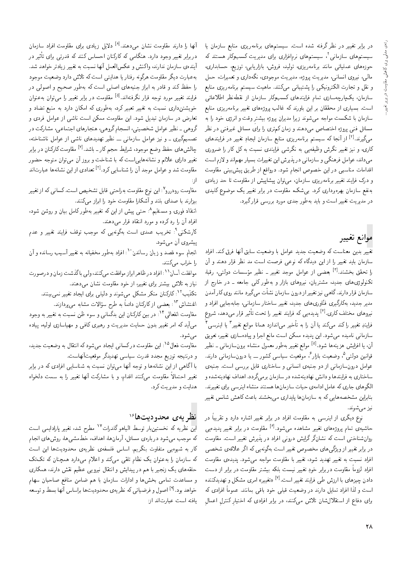در برابر تغییر در نظر گرفته شده است. سیستمهای برنامه<code>ریزی</code> منابع سازمان یا سیستمهای سازمانی۲ سیستمهای نرم|فزاری برای مدیریت کسبوکار هستند که حوزههای عملیاتی مانند برنامەریزی، تولید، فروش، بازاریابی، توزیع، حسابداری، مالی، نیروی انسانی، مدیریت پروژه، مدیریت موجودی، نگهداری و تعمیرات، حمل و نقل و تجارت الكترونيكمي را يشتيباني ميكنند. ماهيت سيستم برنامهريزي منابع سازمان، یکپارچەسازی تمام فرایندهای کسبوکار سازمان از نقطهنظر اطلاعاتی است. بسیاری از محققان بر این باورند که غالب پروژههای تغییر برنامهریزی منابع سازمان با شکست مواجه مهرشوند زیرا مدیران بروژه بیشتر وقت و انرژی خود را به مسائل فنبی پروژه اختصاص می،دهند و زمان کم تری را برای مسائل غیرفنی در نظر میگیرند.<sup>[۲]</sup> از آنجا که سیستم برنامه٫یزی منابع سازمان ایجادِ تغییر در فرایندهای کاری، و نیز تغییر نگرش وظیفهیی به نگرشی فرایندی نسبت به کل کار را ضروری میداند، عوامل فرهنگی و سازمانی در پذیرش این تغییرات بسیار مهماند و لازم است اقدامات مناسبی در این خصوص انجام شود. درواقع از طریق پیش بینی مقاومت و درک فرایند تغییر برنامهریزی سازمان، می توان پیشاپیش از مقاومت تا حد زیادی به نفع سازمان بهرهبرداری کرد. بیشک، مقاومت در برابر تغییر یک موضوع کلیدی در مدیریت تغییر است و باید بهطور جدی مورد بررسی قرار گیرد.

# موانع تغيير

تغيير بدين معناست كه وضعيت جديد عوامل با وضعيت سابق أنها فرق كند. افراد سازمان باید تغییر را از این دیدگاه که نوعی فرصت است مد نظر قرار دهند و آن را تحقق بخشند.<sup>[۲]</sup> بعضی از عوامل موجد تغییر ــ نظیر مؤسسات دولتی، رقبا، تکنولوژی،های جدید، مشتریان، نیروهای بازار و بهطور کلبی جامعه ــ در خارج از سازمان قرار دارند. گاهی نیز تغییراز درون سازمان نشأت میگیرد مانند روی کار آمدن مدیر جدید، بهکارگیری فنّاوریهای جدید، تغییر ساختار سازمانی، جابهجایی افراد و نیروهای مختلف کاری.<sup>[۲]</sup> پدیدهیی که فرایند تغییر را تحت تأثیر قرار *می*دهد، شروع فرايندِ تغيير راكند مىكند يا آن را به تأخير مى!ندازد همانا موانع تغيير" يا اينرسىي ً سازمانی نامیده میشود. این پدیده ممکن است مانع اجرا و پیادهسازی تغییر، تعویق آن، یا افزایش هزینهها شود.<sup>[۵]</sup> موانع تغییر بهطور معمول منشاء برونسازمان<sub>ی</sub> ــ نظیر قوانین دولتبی<sup>0</sup>، وضعیت بازار<sup>۶</sup>، موقعیت سیاسی کشور ـــ یا درون<code>سازمانبی دارند.</code> عوامل درونسازمانی از دو جنبهی انسانی و ساختاری قابل بررسی است. جنبهی ساختاری به فرایندها و دانش نهادینهشده در سازمان برمیگردد. اهداف نهادینهشده و الگوهای جاری که عامل ادامهی حیات سازمانها هستند منشاء اینرسی برای تغییرند. بنابراین مشخصههایی که به سازمانها پایداری می بخشند باعث کاهش شانس تغییر نیز مے شوند.

نوع دیگری از اینرسی به مقاومت افراد در برابر تغییر اشاره دارد و تقریباً در حاشیهی تمام بروژههای تغییر مشاهده می شود.<sup>[۶]</sup> مقاومت در برابر تغییر پدیدهی<sub>ی</sub> روانشناختی است که نشانگر گرایش درونی افراد در پذیرش تغییر است. مقاومت در برابر تغییر از ویژگیهای مخصوص تغییر است بهگونه یی که اگر علاقهی شخصی افراد نسبت به تغییر تهدید شود، تغییر با مقاومت مواجه می شود. پدیدهی مقاومت افراد لزوماً مقاومت دربرابر خودِ تغییر نیست بلکه بیشتر مقاومت در برابر از دست دادن چیزهای با ارزش طی فرایند تغییر است.<sup>[۷]</sup> «تغییر» امری مشکل و تهدیدکننده است و لذا افراد تمایل دارند در وضعیت قبلمی خود باقبی بمانند. عموماً افرادی که برای دفاع از استقلال شان تلاش میکنند، در برابر افرادی که اختیار کنترل اعمال

آنها را دارند مقاومت نشان میردهند.<sup>[۸]</sup> دلایل زیادی برای مقاومت افراد سازمان دربرابر تغییر وجود دارد. هنگامی که کارکنان احساس کنند که قدرتی برای تأثیر در .<br>آینده ی سازمان ندارند، واکنش و عکسالعمل آنها نسبت به تغییر زیادتر خواهد شد. بهعبارت دیگر مقاومت هرگونه رفتار یا هدایتی است که تلاش دارد وضعیت موجود را حفظ کند و قادر به ابراز جنبههای اصلی است که بهطور صحیح و اصولی در فرایند تغییر مورد توجه قرار نگرفتهاند.<sup>[۵]</sup> مقاومت در برابر تغییر را می توان بهعنوان خویشتنداری نسبت به تغییر تعبیر کرد، بهطوری که امکان دارد به منبع تضاد و تعارض در سازمان تبدیل شود. این مقاومت ممکن است ناشی از عوامل فردی و گروهی ـ نظیر عوامل شخصیتی، انسجام گروهی، هنجارهای اجتماعی، مشارکت در تصمیمگیری ـ و نیز عوامل سازمانی ـــ نظیر تهدیدهای ناشی از عوامل ناشناخته، چالش های حفظ وضع موجود، شرایط حجم کار ــ باشد.<sup>[۷]</sup> مقاومت کارکنان در برابر تغییر دارای علائم و نشانههایی|ست که با شناخت و بروز آن میتوان متوجه حضور مقاومت شد و عوامل موجد آن را شناسایی کرد.<sup>[۲]</sup> تعدادی از این نشانهها عبارتاند

مقاومت رودررو<sup>۷</sup>: این نوع مقاومت بهراحتی قابل تشخیص است. کسانی که از تغییر بیزارند با صدای بلند و آشکارا مقاومت خود را ابراز مه کنند.

انتقاد فوری و مستقیم<sup>4</sup>: حتی پیش از این که تغییر بهطور کامل بیان و روشن شود، افراد آن را رد کرده و مورد انتقاد قرار می دهند.

کارشکنی ٌ: تخریب عمدی است بهگونهیی که موجب توقف فرایند تغییر و عدم پیشروی آن می شود.

انجام سوء قصد و زیان رساندن ْ ` : افراد به طور مخفیانه به تغییر آسیب رسانده و آن را خراب می کنند.

موافقت آسان `` افراد در ظاهر ابراز موافقت مى كنند، ولى باگذشت زمان و درصورت نیاز به تلاش بیشتر برای تغییر، از خود مقاومت نشان میدهند.

تکذیب<sup>۱۲</sup>: کارکنان منکر مشکل می شوند و دلیل<sub>ی</sub> برای ایجاد تغییر نمی بینند. اغتشاش"`: بعضبي از كاركنان دائماً به طرح سؤالات مشابه مى،ردازند.

مقاومت انفعال<sub>ی</sub> <sup>۱۴</sup>: در بین کارکنان این بدگمان<sub>ی</sub> و سوء ظن نسبت به تغییر به وجود می آید که امر تغییر بدون حمایت مدیریت و رهبری کافی و مهیاسازی اولیه، پیاده مې شود.

مقاومت فعال<sup>۱۵</sup>: این مقاومت درکسان<sub>ی</sub> ایجاد میشودکه انتقال به وضعیت جدید، و درنتيجه توزيع مجدد قدرت سياسي تهديدگر موقعيتآنهاست.

با آگاهی از این نشانهها و توجه آنها میتوان نسبت به شناسایی افرادی که در برابر تغییر احتمالاً مقاومت میکنند اقدام. و با مشارکت آنها تغییر را به سمت دلخواه هدایت و مدیریت کرد.

### نظر يەي محدوديتھا ً°′

این نظریه که نخستینبار توسط الیاهو گلدرات<sup>۱۷</sup> مطرح شد، تغییر پارادایمی است که موجب میشود دربارهی مسائل، آرمانها، اهداف، خطمشی ها، روش های انجام کار به شیوهیی متفاوت بنگریم. اساس فلسفهی نظریهی محدودیتها این است که سازمان را به عنوان یک نظام تلقی میکند و اعلام میدارد همچنان که تک تک حلقههای یک زنجیر با هم در پیدایش و انتقال نیرویی عظیم نقش دارند، همکاری و مساعدت تمامی بخشها و ادارات سازمان با هم ضامن منافع صاحبان سهام خواهد بود.<sup>[۹]</sup> اصول و فرضیاتی که نظر ی*هی* محدودیتها براساس آنها بسط و توسعه يافته است عبارت|ند از: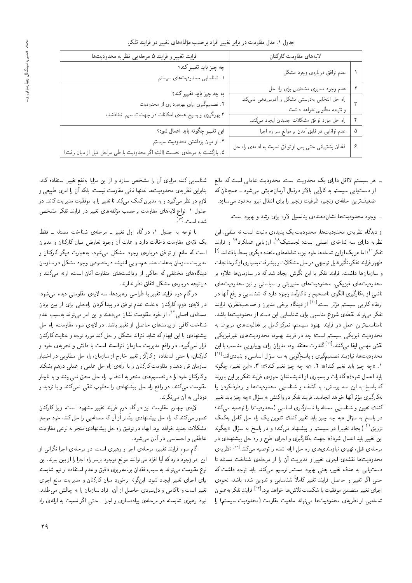| فرایند تغییر و فرایند ۵ مرحلهیی نظریه محدودیتها                                                              | لايههاى مقاومت كاركنان                                                       |   |
|--------------------------------------------------------------------------------------------------------------|------------------------------------------------------------------------------|---|
| چه چیز باید تغییر کند؟<br>۱. شناسایی محدودیتهای سیستم                                                        | عدم توافق دربارهى وجود مشكل                                                  |   |
|                                                                                                              | عدم وجود مسیری مشخص برای راه حل                                              |   |
| به چه چیز باید تغییر کند؟<br>۲. تصمیمگیری برای بهرهبرداری از محدودیت                                         | راه حل انتخابی بهدرستی مشکل را آدرس،دهی نمیکند<br>و نتیجه مطلوبینخواهد داشت. |   |
| ۳.بهرهگیری و بسیج همهی امکانات در جهت تصمیم اتخاذشده                                                         | راه حل مورد توافق مشکلات جدیدی ایجاد میکند.                                  |   |
| این تغییر چگونه باید اعمال شود؟                                                                              | عدم توانایی در فایق آمدن بر موانع سر راه اجرا                                |   |
| ۴. از میان برداشتن محدودیت سیستم<br>۵. بازگشت به مرحلهى نخست (البته اگر محدوديت با طى مراحل قبل از ميان رفت) | فقدان پشتیبانی حتی پس از توافق نسبت به ادامهی راه حل                         | ۶ |

۔ هر سیستم لااقل دارای یک محدویت است. محدودیت عاملی است که مانع از دست پابی سیستم به کارآیی بالاتر درقبال آرمانهایش می شود ـ همچنان که ضعیف ترین حلقه ی زنجیر، ظرفیت زنجیر را برای انتقال نیرو محدود مه سازد.

۔ وجود محدودیتها نشاندهندهی پتانسیل لازم برای رشد و بهبود است.

از دیدگاه نظریهی محدودیتها، محدودیت یک پدیدهی مثبت است نه منفی. این نظریه دارای سه شاخهی اصلبی است: لجستیک<sup>۱۸</sup>، ارزیابی عملکرد<sup>۱۹</sup> و فرایند تفکر ۲° اما هر یک ازاین شاخهها خود نیز به شاخههای متعدد دیگری بسط یافتهاند. <sup>[۹]</sup> ظهور فرايند تفكر، تأثير قابل توجهي در حل مشكلات و پيشرفت بسياري ازكارخانجات و سازمانها داشت. فرایند تفکر با این نگرش ایجاد شد که در سازمانها علاوه بر محدودیتهای فیزیکی، محدودیتهای مدیریتی و سیاستی و نیز محدودیتهای ناشمي از بهكارگيري الگوي ناصحيح و ناكارآمد وجود دارد كه شناسايي و رفع آنها در ارتقاء کارایی سیستم مؤثر است.<sup>[۱۰]</sup> از دیدگاه برخی مدیران و صاحب نظران، فرایند ۔<br>تفکر می تواند نقطهی شروع مناسبے برای شناسایی این دسته از محدودیتها باشد. نامناسب;ترین عمل در فرایند بهبود سیستم، تمرکز کامل بر فعالیتهای مربوط به محدودیت فیزیکی سیستم است؛ چه در فرایند بهبود، محدودیتهای غیرفیزیکی نقش مهمی ایفا میکنند.<sup>[۱۱]</sup>گلدرات معتقد بود، مدیران برای رویارویی مناسب با این محدودیتها، نیازمند تصمیمگیری و پاسخگویی به سه سؤال اساسی و بنیادیاند:<sup>[۱۲]</sup> ۱. «چه چیز باید تغییرکند؟»؛ ۲. «به چه چیز تغییرکند؟»؛ ۳. «این تغییر، چگونه باید اعمال شود؟» گلدرات و بسیاری از اندیشمندان حوزهی فرایند تفکر بر این باورند که پاسخ به این سه پرسش، به کشف و شناسایی محدودیتها و برطرفکردن یا بهکارگیری مؤثر آنها خواهد انجامید. فرایند تفکر در واکنش به سؤال «چه چیز باید تغییر كند؟» تعيين و شناسايي مسئله يا ناسازگاري اساسي (محدوديت) را توصيه ميكند؛ در یاسخ به سؤال «به چه چیز باید تغییر کند؟» تدوین یک راه حل کامل بهکمک تزریق<sup>۲۱</sup> (ایجاد تغییر) در سیستم را بیشنهاد می کند؛ و در پاسخ به سؤال «حگونه این تغییر باید اعمال شود؟» جهت بهکارگیری و اجرای طرح و راه حل پیشنهادی در مرحلهى قبل، تهيهى نيازمندىهاى راه حل ارائه شده را توصيه مىكند.<sup>[۱۰]</sup> نظريهى محدودیتها نقشهی اجرای تغییر و مدیریت آن را از مرحلهی شناخت مسئله تا دست یابی به هدف تغییر، یعنی بهبود مستمر ترسیم میکند. باید توجه داشت که حتی اگر تغییر و حاصل فرایند تغییر کاملاً شناسایی و تدوین شده باشد، نحوهی اجراي تغيير متضمن موفقيت يا شكست تلاش۵ا خواهد بود.<sup>[۱۱۳]</sup> فرايند تفكر به عنوان شاخهیی از نظریهی محدودیتها می تواند ماهیت مقاومت (محدودیت سیستم) را

شناسایی کند، مزایای آن را مشخص سازد و از این مزایا بهنفع تغییر استفاده کند. بنابراین نظریهی محدودیتها نهتنها نافی مقاومت نیست، بلکه آن را امری طبیعی و .<br>لازم در نظر مه گیرد و به مدیران کمک مه کند تا تغییر را با موفقیت مدیریت کنند. در جدول ۱ انواع لایههای مقاومت برحسب مؤلفههای تغییر در فرایند تفکر مشخص شده است.<sup>[۱۴]</sup>

با توجه به جدول ۱، در گام اول تغییر ــ مرحلهی شناخت مسئله ــ فقط یک لایهی مقاومت دخالت دارد و علت آن وجود تعارض میان کارکنان و مدیران است که مانع از توافق دربارهی وجود مشکل می شود. به عبارت دیگر کارکنان و مدیریت سازمان به علت عدم همسویی اندیشه درخصوص وجود مشکل در سازمان دیدگاههای مختلفی که حاکمی از برداشتهای متفاوت آنان است، ارائه میکنند و درنتیجه دربارهی مشکل اتفاق نظر ندارند.

درگام دوم فرایند تغییر یا طراحی راهبردها، سه لایهی مقاومتی دیده می شود. در لایه ی دوم، کارکنان به علت عدم توافق در پیدا کردن راه حلبی برای از بین بردن مسئله ی اصلی ۲۲ از خود مقاومت نشان می دهند و این امر می تواند بهسبب عدم شناخت کافی از پیامدهای حاصل از تغییر باشد. در لایهی سوم مقاومت، راه حل پیشنهادی با این ابهام که شاید نتواند مشکل را حل کند مورد توجه و عنایت کارکنان قرار نم<sub>ی</sub>گیرد. در واقع مدیریت سازمان نتوانسته است با دانش و تجربهی خود و کارکنان، یا حتی استفاده از کارگزار تغییر خارج از سازمان، راه حل مطلوبی در اختیار سازمان قرار دهد و مقاومت کارکنان را با ارائهی راه حل علمی و عملی درهم بشکند وکارکنان خود را در تصمیمهای منجر به انتخاب راه حل محق نمی بینند و به ناچار مقاومت میکنند. در واقع راه حل پیشنهادی را مطلوب تلقی نمیکنند و با تردید و دودلبي به آن مي نگرند.

لایهی چهارم مقاومت نیز در گام دوم فرایند تغییر مشهود است، زیرا کارکنان تصور میکنند که راه حل پیشنهادی بیُشتر اَرَ آن که مسئله یی را حل کند، خود موجدِ مشکلات جدید خواهد بود. ابهام در توفیق راه حل پیشنهادی منجر به نوعی مقاومت عاطفي و احساسي در آنان مي شود.

گام سوم فرایند تغییر، مرحلهی اجرا و رهبری است. در مرحلهی اجرا نگرانی از این امر وجود دارد که آیا افراد می توانند موانع موجود برسر راه اجرا را از بین ببرند. این نوع مقاومت می تواند به سبب فقدان برنامه٫ یزی دقیق و عدم استفاده از تیم شایسته برای اجرای تغییر ایجاد شود. اینگونه برخورد میان کارکنان و مدیریت مانع اجرای تغییر است و ناکامی و دل سردی حاصل از آن، افراد سازمان را به چالش می طلبد. نبود رهبری شایسته در مرحلهی پیادهسازی و اجرا ـ حتبی اگر نسبت به ارائهی راه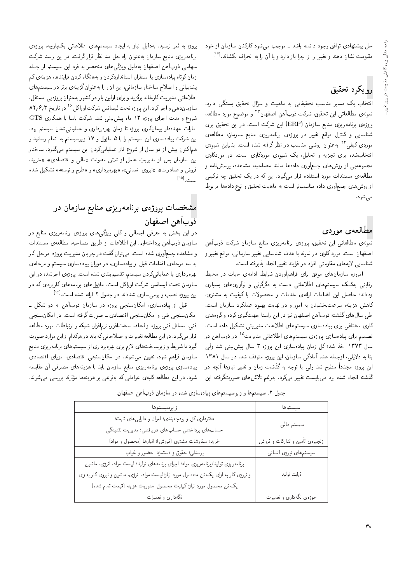حل پیشنهادی توافق وجود داشته باشد ــ موجب می شود کارکنان سازمان از خود مقاومت نشان دهند و تغییر را از اجرا باز دارد و یا آن را به انحراف بکشاند.<sup>[۱۴]</sup>

# رويكرد تحقيق

آنتخاب یک مسیر مناسب تحقیقاتی به ماهیت و سؤال تحقیق بستگی دارد. نمونهى مطالعاتي اين تحقيق، شركت ذوبآهن اصفهان<sup>٢٣</sup> و موضوع مورد مطالعه، پروژهی برنامه<code>ریزی</code> منابع سازمان (ERP) این شرکت است. در این تحقیق برای شناسایی و کنترل موانع تغییر در پروژهی برنامهریزی منابع سازمان، مطالعهی موردی کیفی <sup>۲۴</sup> به عنوان روشی مناسب در نظر گرفته شده است. بنابراین شیوهی انتخابشده برای تجزیه و تحلیل، یک شیوهی موردکاوی است. در موردکاوی مجموعهیی از روشهای جمعآوری دادهها مانند مصاحبه، مشاهده، پرسشنامه و مطالعهی مستندات مورد استفاده قرار مهگیرد. این که در یک تحقیق چه ترکیبی از روشهای جمعآوری داده مناسب تر است به ماهیت تحقیق و نوع دادهها مربوط مى شود.

#### مطالعهى موردى

نمونهى مطالعاتي اين تحقيق، يروژهى برنامەريزى منابع سازمان شركت ذوبأهن اصفهان است. مورد کاوی در نمونه با هدف شناسایی تغییر سازمانی، موانع تغییر و شناسایی لایههای مقاومتی افراد در فرایند تغییر انجام یذیرفته است.

امروزه سازمان های موفق برای فراهمآوردن شرایط ادامهی حیات در محیط رقابتی بهکمک سیستمهای اطلاعاتی دست به دگرگونی و نوآوریهای بسیاری زدهاند؛ حاصل این اقدامات ارائهی خدمات و محصولات با کیفیت به مشتری، کاهش هزینه، سرعتبخشیدن به امور و در نهایت بهبود عملکرد سازمان است. طی سال های گذشته ذوب آهن اصفهان نیز در این راستا جهتگیری کرده و گروههای کاری مختلفی برای بیادهسازی سیستمهای اطلاعات مدیریتی تشکیل داده است. تصمیم برای پیادهسازی پروژهی سیستمهای اطلاعاتی مدیریت<sup>۲۵</sup> در ذوبآهن در سال ۱۳۷۳ اخذ شد؛ کل زمان پیادهسازی این پروژه ۳ سال پیش بینی شد ولی بنا به دلایلی، ازجمله عدم آمادگی سازمان، این بروژه متوقف شد. در سال ۱۳۸۱ این بروژه مجدداً مطرح شد ولی با توجه به گذشت زمان و تغییر نیازها آنچه در گذشته انجام شده بود مىبايست تغيير مىكرد. بەرغم تلاش،هاى صورتگرفته، اين

بروژه به ثمر نرسید. بهدلیل نیاز به ایجاد سیستمهای اطلاعاتی یک پارچه، بروژهی برنامهریزی منابع سازمان به عنوان راه حل مد نظر قرار گرفت. در این راستا شرکت سهامی ذوبآهن اصفهان بهدلیل ویژگیهای منحصر به فرد این سیستم از جمله زمان كوتاه پیادهسازی یا استقرار، استانداردكردن و بههنگام كردن فرایندها، هزینهی كم یشتیبانی و اصلاح ساختار سازمانی، این ابزار را به عنوان گزینهی برتر در سیستم های اطلاعاتی مدیریت کارخانه برگزید و برای اولین بار درکشور به عنوان پروژهیی مستقل، سازمان دهی و اجراکرد. این پروژه تحت لیسانس شرکت اوراکل<sup>۲۶</sup> در تاریخ ۸۲٫۶٫۳ .<br>شروع و مدت اجرای پروژه ۱۳ ماه پیش بینی شد. شرکت باسا با همکاری GTS امارات عهدهدار پیمانکاری پروژه تا زمان بهرهبرداری و عملیاتی شدن سیستم بود. این شرکت پیادهسازی این سیستم را با ۵ ماژول و ۱۷ زیرسیستم به اتمام رسانید و هم|کنون بیش از دو سال از شروع فاز عملیاتیکردن این سیستم میگذرد. ساختار این سازمان پس از مدیریتِ عامل از شش معاونت «مال<sub>ی</sub> و اقتصادی»، «خرید، فروش و صادرات»، «نیروی انسانی»، «بهرهبرداری» و «طرح و توسعه» تشکیل شده است. <sup>[۱۵]</sup>

## مشخصات پروژهی برنامهریزی منابع سازمان در ذوبآهن اصفهان

در این بخش به معرفی اجمالی و کلی ویژگی۵لمای پروژهی برنامهریزی منابع در سازمان ذوبآهن يرداختهايم. اين اطلاعات از طريق مصاحبه، مطالعهى مستندات و مشاهده جمعآوری شده است. می توان گفت در جریان مدیریت بروژه، مراحل کار به سه مرحلهی اقدامات قبل از پیادهسازی، در دوران پیادهسازی سیستم و مرحلهی بهرهبرداری یا عملیاتیکردن سیستم، تقسیمبندی شده است. پروژهی اجراشده در این .<br>سازمان تحت لیسانس شرکت اوراکل است. ماژولهای برنامههای کاربردی که در این پروژه نصب و بومی سازی شدهاند در جدول ۲ ارائه شده است. <sup>[۱۶]</sup>

قبل از پیادهسازی، امکان سنجی پروژه در سازمان ذوبآهن به دو شکل ۔ امکان سنجي فني و امکان سنجي اقتصادي ۔ صورت گرفته است. در امکان سنجي فنبي، مسائل فنبي يروژه از لحاظ سختافزار، نرمافزار، شبكه و ارتباطات مورد مطالعه قرار می گیرد. در این مطالعه تغییرات و اصلاحاتی که باید در هرکدام از این موارد صورت گیرد تا شرایط و زیرساخت های لازم برای بهرهبرداری از سیستم های برنامهریزی منابع سازمان فراهم شود، تعیین میشوند. در امکانسنجی اقتصادی، مزایای اقتصادی پیادهسازی پروژهی برنامهریزی منابع سازمان باید با هزینههای مصرفی آن مقایسه شود. در این مطالعه کلیهی عواملی که بهنوعی بر هزینهها مؤثرند بررسی میشوند.

| زيرسيستمها                                                                           | سيستمها                        |
|--------------------------------------------------------------------------------------|--------------------------------|
| دفترداری کل و بودجهبندی؛ اموال و دارایی های ثابت؛                                    |                                |
| حساب های پرداختنی؛حساب های دریافتنی؛ مدیریت نقدینگی                                  | سيستم مالى                     |
| خرید؛ سفارشات مشتری (فروش)؛ انبارها (محصول و مواد)                                   | زنجیرهی تأمین و تدارکات و فروش |
| پرسنلمي؛ حقوق و دستمزد؛ حضور و غياب                                                  | سیستمهای نیروی انسانی          |
| برنامهریزی تولید/برنامهریزی مواد؛ اجرای برنامههای تولید؛ لیست مواد، انرژی، ماشین     |                                |
| و نیروی کار به ازای یک تن محصول مورد نیاز؛لیست مواد، انرژی، ماشین و نیروی کار به زای | فرايند توليد                   |
| يک تن محصول مورد نياز؛كيفيت محصول؛ مديريت هزينه (قيمت تمام شده)                      |                                |
| نگهداری و تعمیرات                                                                    | حوزهى نگەدارى و تعميرات        |

| جدول ۲. سیستمها و زیرسیستمهای پیادهسازی شده در سازمان ذوبآهن اصفهان |
|---------------------------------------------------------------------|
|---------------------------------------------------------------------|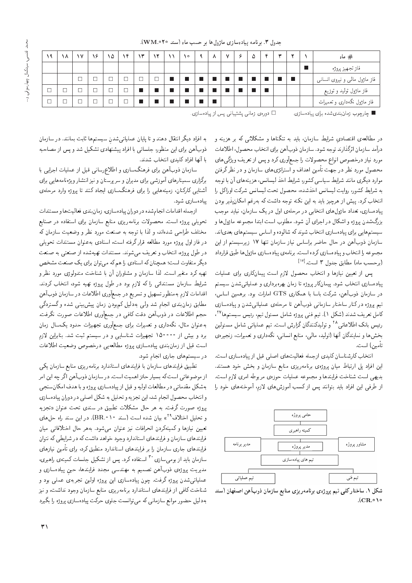| ۹      | ۸ | ١٧             | ۱۶                       | ١۵ | ÷ | ۱۳ | ۲ | $\sqrt{2}$ | $\sim$ | $\checkmark$ | c | $\Delta$ | c | يده |   | # ماه                           |
|--------|---|----------------|--------------------------|----|---|----|---|------------|--------|--------------|---|----------|---|-----|---|---------------------------------|
|        |   |                |                          |    |   |    |   |            |        |              |   |          |   |     |   | فار تجهيز پروژه                 |
|        |   | $\overline{ }$ |                          |    |   |    |   |            |        |              |   |          |   |     | П | فاز ماژول مالبی و نیروی انسانبی |
| $\Box$ |   |                | $\Box$                   |    |   | П  |   |            |        |              |   |          |   |     |   | فاز ماژول تولید و توزیع         |
| $\Box$ |   |                | $\overline{\phantom{a}}$ |    |   | П  |   |            |        |              |   |          |   |     |   | فاز ماژول نگهداری و تعمیرات     |

جدول ٣. برنامه پيادهسازى ماژول ها بر حسب ماه (سند ٢٥ MM. ٥٢٠).

وارچوب زمان بندی شده برای پیادهسازی.  $\square$  دورهی زمانی پشتیبانی پس از پیادهسازی  $\blacksquare$ 

در مطالعهی اقتصادیِ شرایط سازمان، باید به تنگناها و مشکلاتی که بر هزینه و درآمد سازمان اثرگذارند توجه شود. سازمان ذوبآهن براي انتخاب محصول، اطلاعات مورد نیاز درخصوص انواع محصولات را جمعأوری کرد و پس از تعریف ویژگی های محصول مورد نظر در جهت تأمین اهداف و استراتژی های سازمان و در نظرگرفتن موارد دیگری مانند شرایط سیاسی کشور، شرایط اخذ لیسانس، هزینههای آن با توجه به شرايط كشور، روايت ليسانس اخذشده، محصول تحت ليسانس شركت اوراكل را انتخاب کرد. پیش از هرچیز باید به این نکته توجه داشت که بهرغم امکان یذیر بودن پیادهسازی، تعداد ماژول های انتخابی در مرحلهی اول در یک سازمان، نباید موجب بزرگشدن پروژه و اشکال در اجرای آن شود. مطلوب است ابتدا مجموعه ماژول ها و سیستم هایی برای پیادهسازی انتخاب شوند که شالوده و اساس سیستم های بعدیاند. سازمان ذوبآهن در حال حاضر براساس نياز سازمان تنها ١٧ زيرسيستم از اين مجموعه را انتخاب و پيادهسازي كرده است. برنامهي پيادهسازي ماژول ها طبق قرارداد (برحسب ماه) مطابق جدول ۳ است.<sup>[۱۷</sup>]

پس از تعیین نیازها و انتخاب محصول لازم است پیمانکاری برای عملیات پیادهسازی انتخاب شود. پیمانکار پروژه تا زمان بهرهبرداری و عملیاتی شدن سیستم  $\tau$ در سازمان ذوبآهن، شرکت باسا با همکاری  $\mathrm{ATS}$  امارات بود. برهمین اساس، تیم پروژه درکنار ساختار سازمانی ذوبآهن تا مرحلهی عملیاتی شدن و پیادهسازی کامل تعریف شدند (شکل ۱). تیم فنی پروژه شامل مسئول تیم، رئیس سیستم ها<sup>۲۷</sup>، رئیس بانک اطلاعاتی<sup>۲۸</sup> و تولیدکنندگان گزارش است. تیم عملیاتی شامل مسئولین بخشها و نمایندگان آنها (تولید، مالی، منابع انسانی، نگهداری و تعمیرات، زنجیرهی "تأمين) است.

انتخاب كارشناسان كليدي ازجمله فعاليت هاى اصلى قبل از پيادهسازى است. این افراد پل ارتباط میان پروژهی برنامهریزی منابع سازمان و بخش خود هستند. بديهي است شناخت فرايندها و مجموعه عمليات حوزهى مربوطه امرى لازم است. از طرفی این افراد باید بتوانند پس از کسب آموزش های لازم، آموخته های خود را



شکل ۱. ساختارکلی تیم پروژهی برنامه ریزی منابع سازمان ذوب آهن اصفهان (سند  $|C$ R $\cdot$  10

به افراد دیگر انتقال دهند و تا پایان عملیاتی شدن سیستم ها ثابت بمانند. در سازمان ذوبآهن براي اين منظور، جلساتي با افراد پيشنهادي تشكيل شد و پس از مصاحبه با أنها افراد كليدى انتخاب شدند.

سازمان ذوب آهن براى فرهنگسازى و اطلاع رسانى قبل از عمليات اجرايى با برگزاری سمینارهای آموزشی برای مدیران و سرپرستان و نیز انتشار ویژهنامههایی برای آشنایی کارکنان، زمینههایی را برای فرهنگسازی ایجاد کنند تا پروژه وارد مرحلهی يبادهسازي شود.

ازجمله اقدامات انجام شده در دوران پیادهسازی، زمان بندی فعالیت ها و مستندات تحویلی پروژه است. محصولات برنامهریزی منابع سازمان برای استفاده در صنایع مختلف طراحی شدهاند، و لذا با توجه به صنعت مورد نظر و وضعیت سازمان که در فاز اول پروژه مورد مطالعه قرار گرفته است، اسنادی بهعنوان مستندات تحویلی در طول پروژه، انتخاب و تعریف میشوند. مستندات تهیهشده از صنعتی به صنعت دیگر متفاوت است؛ همچنان که اسنادی را هم که می توان برای یک صنعت مشخص تهیه کرد متغیر است. لذا سازمان و مشاوران آن با شناخت متدولوژی مورد نظر و شرایط سازمان مستنداتی را که لازم بود در طول پروژه تهیه شود، انتخاب کردند. اقدامات لازم بهمنظور تسهيل و تسريع در جمعأوري اطلاعات در سازمان ذوبأهن مطابق زمان بندی انجام شد ولی بهدلیل کم بودن زمان پیش بینبی شده و گستردگی حجم اطلاعات در ذوب آهن دقت كافي در جمع أورى اطلاعات صورت نگرفت. به عنوان مثال، نگهداری و تعمیرات برای جمعآوری تجهیزات حدود یک سال زمان برد و بیش از °°°°10 تجهیزات شناسایی و در سیستم ثبت شد. بنابراین لازم است قبل از زمان بندى پيادهسازى بروژه مطالعه يى درخصوص وضعيت اطلاعات در سیستمهای جاری انجام شود.

تطبيق فرايندهاى سازمان با فرايندهاى استاندارد برنامه ريزى منابع سازمان يكى از موضوعاتی است که بسیار حائز اهمیت است. در سازمان ذوبآهن اگر چه این امر بهشكل مقدماتي در مطالعات اوليه و قبل از پيادهسازي بروژه و با هدف امكان سنجي و انتخاب محصول انجام شد، این تجزیه و تحلیل به شکل اصلی در دوران پیادهسازی پروژه صورت گرفت. به هر حال مشکلات تطبیق در سندی تحت عنوان «تجزیه و تحلیل اختلاف<sup>۲۹</sup>» بیان شده است (سند ۱۰°BR.). <mark>در این</mark> سند راه حلهای تعیین نیازها وکمپنهکردن انحرافات نیز عنوان می¢شود. بههر حال اختلافاتی میان فرایندهای سازمان و فرایندهای استاندارد وجود خواهد داشت که در شرایطی که نتوان فرایندهای جاری سازمان را بر فرایندهای استاندارد منطبق کرد، برای تأمین نیازهای سازمان باید از بومی سازی <sup>۳۰</sup> استفاده کرد. پس از تشکیل جلسات کمیتهی راهبری، مدیریت پروژهی ذوبآهن تصمیم به مهندسی مجدد فرایندها، حین پیادهسازی و عملیاتیشدن پروژه گرفت. چون پیادهسازی این پروژه اولین تجربهی عملی بود و شناخت کافی از فرایندهای استاندارد برنامه ریزی منابع سازمان وجود نداشت، و نیز بهدلیل حضور موانع سازمانی که می توانست جلوی حرکت پیادهسازی پروژه را بگیرد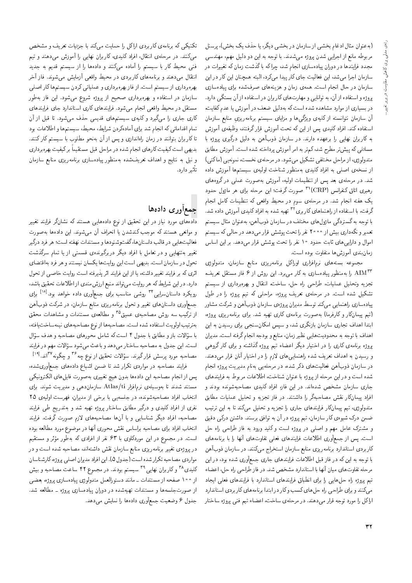(به عنوان مثال ادغام بخشی از سازمان در بخشی دیگر، یا حذف یک بخش)، پرسنل مربوطه مانع از اجرایی شدن پروژه میشدند. با توجه به این دو دلیل مهم، مهندسی مجدد فرایندها در دوران پیادهسازی انجام شد. چرا که با گذشت زمان که تغییرات در سازمان اجرا میشد، این فعالیت جای کار پیدا میکرد، البته همچنان این کار در این سازمان در حال انجام است. همهی زمان و هزینههای صرفشده برای پیادهسازی پروژه و استفاده از آن، به توانایی و مهارتهای کاربران در استفاده از آن بستگی دارد. در بسیاری از موارد مشاهده شده است که بهدلیل ضعف در آموزش یا عدم کفایت، آن سازمان نتوانسته از کلیهی ویژگیها و مزایای سیستم برنامهریزیِ منابع سازمان استفاده کند. افراد کلیدی پس از این که تحت آموزش قرار گرفتند، وظیفهی آموزش به كاربران نهايى را برعهده دارند. در سازمان ذوبآهن به دليل درگيرى پروژه با مسائلی که پیش تر مطرح شد، کم تر به امر آموزش پرداخته شده است. آموزش مطابق متدولوژي، از مراحل مختلفي تشكيل مي شود. در مرحلهي نخست، نمونهيي (ماكتي) از نسخهى اصلى به افراد كليدى بهمنظور شناخت اوليهى سيستمها أموزش داده شد. در مرحلهی بعد پس از تنظیمات اولیه، آموزش بهصورت عملمی در گروههای رهبري اتاق كنفرانس (CRP)<sup>۳۱</sup> صورت گرفت؛ اين مرحله براي هر ماژول حدود یک هفته انجام شد. در مرحلهی سوم در محیط واقعی که تنظیمات کامل انجام گرفت، با استفاده از راهنماهای کاربری<sup>۳۲</sup> تهیه شده به افراد کلیدی آموزش داده شد. با توجه به گستردگی ماژول های مختلف در سازمان ذوبآهن، به عنوان مثال سیستم تعمیرو نگهداری بیش از ۲۰۰۰ نفر را تحت پوشش قرار میدهد در حال<sub>ق</sub> که سیستم اموال و دارایی های ثابت حدود ۱۰ نفر را تحت پوشش قرار می دهد. بر این اساس زمان بندى أموزش ها متفاوت بوده است.

مجموعه بستههاى نرم|فزارى اوراكل برنامهريزى منابع سازمان، متدولوژى را به منظور پیادهسازی به کار می برد. این روش از ۶ فاز مستقل تعریف،  $\mathrm{AIM}^{\mathsf{FT}}$ تجزیه وتحلیل عملیات، طراحی راه حل، ساخت، انتقال و بهرهبرداری از سیستم تشکیل شده است. در مرحلهی تعریف پروژه، مراحلی که تیم پروژه را در طول پیادهسازی راهنمایی میکند توسط مدیران پروژهی سازمان ذوبآهن و شرکت مشاور (تیم پیمانکار و کارفرما) بهصورت برنامهی کاری تهیه شد. برای برنامه ریزی بروژه، ابتدا اهداف تجاری سازمان بازنگری شد، و سپس امکان سنجی برای رسیدن به این اهداف با توجه به محدوديتهايي نظير زمان، منابع و بودجه انجام گرفته است. مديران پروژه برنامهی کاری را در اختیار دیگر اعضاء تیم پروژه گذاشته و برای کار گروهی و رسیدن به اهداف تعریف شده راهنمایی های لازم را در اختیار آنان قرار می دهند. در سازمان ذوبآهن فعالیتهای ذکر شده، در مرحلهیی بهنام مدیریت پروژه انجام شده است و در این مرحله از پروژه با عنوان شناخت، اطلاعات مربوط به فرایندهای جاری سازمان مشخص شدهاند. در این فاز، افراد کلیدی مصاحبهشونده بودند و افراد پیمانکار نقش مصاحبهگر را داشتند. در فاز تجزیه و تحلیل عملیات مطابق متدولوژی، تیم پیمانکار فرایندهای جاری را تجزیه و تحلیل می کند تا به این ترتیب ضمن درک شیوهی کار سازمان، تیم پروژه در آن به توافق برسند. داشتن درکمی دقیق و مشترک عامل مهم و اصلبی در بروژه است و کلید ورود به فاز طراحی راه حل است. پس از جمعآوری اطلاعات فرایندهای فعلمی تفاوتهای أنها را با برنامههای كاربردي استاندارد برنامه ريزي منابع سازمان استخراج مىكنند. در سازمان ذوب آهن با توجه به این که در فار قبل اطلاعات فرایندهای جاری جمعآوری شده بود، در این مرحله تفاوت هاي ميان أنها با استاندارد مشخص شد. در فاز طراحي راه حل، اعضاء تیم پروژه راه حل هایی را برای انطباق فرایندهای استاندارد با فرایندهای فعلی ایجاد میکنند و برای طراحی راه حل های کسب و کار در ابتدا برنامه های کار بردی استاندارد اراكل را مورد توجه قرار مىدهند. در مرحلهى ساخت، اعضاء تيم فنى پروژه ساختار

تکنیکی که برنامهی کاربردی اراکل را حمایت میکند با جزئیات تعریف و مشخص میکنند. در مرحلهی انتقال، افراد کلیدی، کاربران نهایی را آموزش میدهند و تیم فنی محیط کار با سیستم را آماده میکنند و دادهها را از سیستم قدیم به جدید انتقال میدهند و برنامههای کاربردی در محیط واقعی آزمایش میشوند. فاز آخر بهرهبرداري از سيستم است. از فاز بهرهبرداري و عملياتي كردن سيستم ها كار اصلي سازمان در استفاده و بهرهبرداری صحیح از پروژه شروع میشود. این فاز بهطور مستقل در محیط واقعی انجام میشود. فرایندهای کاری استاندارد جای فرایندهای کاری جاری را میگیرد و کلیهی سیستمهای قدیمی حذف می شود. تا قبل از آن تمام اقداماتي كه انجام شد براي آمادهكردن شرايط، محيط، سيستمها و اطلاعات بود تا کاربران بتوانند در زمان راهاندازی و پس از آن بهنحو مطلوب با سیستم کارکنند. بدیهی است کیفیت کارهای انجام شده در مراحل قبل مستقیماً برکیفیت بهرهبرداری و نیل به نتایج و اهداف تعریفشده بهمنظور پیادهسازی برنامهریزی منابع سازمان تأثير دارد.

## جمعأورى دادهها

دادههای مورد نیاز در این تحقیق از نوع دادههایی هستند که نشانگر فرایند تغییر و موانعي هستند كه موجب كندشدن يا انحراف أن مى شوند. اين دادهها به صورت فعاليت هايي در قالب داستان ها، گفتوشنودها و مستندات نهفته است؛ هر فرد درگير تغییر بهتنهایی و در تعامل با افراد دیگر دربرگیرندهی قسمتی از یا تمام سرگذشت تحول در سازمان است. بدیهی است این روایتها یکسان نیستند و هر فرد بهاقتضای اثرى كه بر فرايند تغيير داشته، يا از اين فرايند اثر پذيرفته است روايت خاصبي از تحول دارد. در این شرایط که هر روایت می تواند منبع ارزش مندی از اطلاعات تحقیق باشد، رویکرد داستانسرایی<sup>۳۴</sup> روشی مناسب برای جمعآوری داده خواهد بود.<sup>[۱۸]</sup> برای جمعأوری داستانهای تغییر و تحول برنامهریزی منابع سازمان، در شرکت ذوبآهن از ترکیب سه روش مصاحبهی عمیق<sup>۳۵</sup> و مطالعهی مستندات و مشاهدات محقق بهترتيب اولويت استفاده شده است. مصاحبهها از نوع مصاحبههاى نيمهساخت يافته، با سؤالات بازو مطابق با جدول ۴ است که شامل محورهای مصاحبه و هدف سؤال<br>. است. این جدول به مصاحبه ساختار می دهد و باعث میشود سؤالات مهم در فرایند<br>مس مصاحبه مورد پرسش قرارگیرند. سؤالات تحقیق از نوع چه<sup>۳۶</sup> و چگونه ۱<sup>۲۷</sup>اند.<sup>[۱۹]</sup>

فرایند مصاحبه در مواردی تکرار شد تا ضمن اشباع دادههای جمعآوریشده، يس از انجام مصاحبه اين دادهها بدون هيچ تغييري بهصورت فايل هاى الكترونيكي مستند شدند تا بهوسیلهی نرم|فزار Atlas/ti سازماندهی و مدیریت شوند. برای انتخاب افراد مصاحبهشونده، در جلسهيي با برخي از مديران، فهرست اوليهى ٢٥ نفری از افراد کلیدی و درگیر مطابق ساختار بروژه تهیه شد و بهتدریج طی فرایند مصاحبه، افراد دیگر شناسایی و با آنها مصاحبههای لازم صورت گرفت. فرایند انتخاب افراد براي مصاحبه براساس نقش محوري أنها در موضوع مورد مطالعه بوده است. در مجموع در این موردکاوی با ۶۳ نفر از افرادی که بهطور مؤثر و مستقیم<br>. در پروژهى تغيير برنامەريزى منابع سازمان نقش داشتەاند، مصاحبه شده است و در مواردي مصاحبه تكرار شده است (جدول ۵). اين افراد مديران اصلى پروژه، كارشناسان کلیدی<sup>۳۸</sup> و کاربران نهایی<sup>۳۹</sup> سیستم بودند. در مجموع ۴۲ ساعت مصاحبه و بیش از ۱۰۰ صفحه از مستندات ـ مانند دستورالعمل متدولوژي پيادهسازي پروژه، بعضي از صورتجلسهها و مستندات تهیهشده در دوران پیادهسازی پروژه ــ مطالعه شد. جدول ۶ وضعیت جمعآوری دادهها را نمایش میدهد.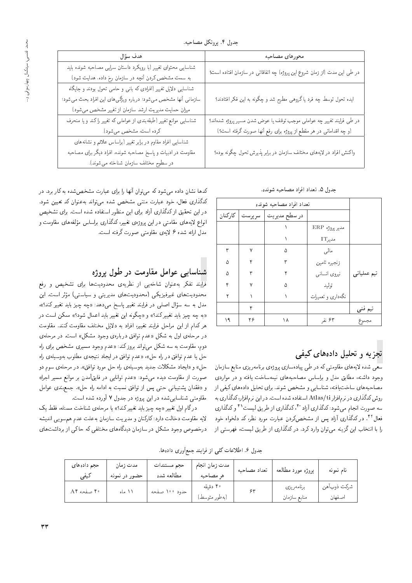| هدف سؤال                                                           | محورهاى مصاحبه                                                           |
|--------------------------------------------------------------------|--------------------------------------------------------------------------|
| شناسایی محتوای تغییر (با رویکرد داستان سرایی مصاحبه شونده باید     | در طی این مدت (از زمان شروع این پروژه) چه اتفاقاتی در سازمان افتاده است؟ |
| به سمت مشخص کردن آنچه در سازمان رخ داده، هدایت شود)                |                                                                          |
| شناسایی دلایل تغییر (افرادی که بانی و حامی تحول بودند و جایگاه     |                                                                          |
| سازمانی آنها مشخص میشود؛ درباره ویژگی های این افراد بحث می شود؛    | ایده تحول توسط چه فرد یا گروهی مطرح شد و چگونه به این فکر افتادند؟       |
| میزان حمایت مدیریت ارشد سازمان از تغییر مشخص می شود)               |                                                                          |
| شناسایی موانع تغییر (طبقهبندی از عواملی که تغییر را کند و یا منحرف | در طی فرایند تغییر چه عواملی موجب توقف یا عوض شدن مسیر پروژه شدهاند؟     |
| كرده است، مشخص مى شود).                                            | (و چه اقداماتی در هر مقطع از پروژه برای رفع أنها صورت گرفته است؟)        |
| شناسایی افراد مقاوم در برابر تغییر (براساس علائم و نشانههای        |                                                                          |
| مقاومت در ادبیات و پاسخ مصاحبه شونده، افراد دیگر برای مصاحبه       | واکنش افراد در لایههای مختلف سازمان در برابر پذیرش تحول چگونه بوده؟      |
| در سطوح مختلف سازمان شناخته می شوند).                              |                                                                          |

#### جدول ۵. تعداد افراد مصاحبه شونده.

|         | تعداد افراد مصباحبه شونده |               |                   |             |  |  |  |  |
|---------|---------------------------|---------------|-------------------|-------------|--|--|--|--|
| كاركنان | سر پرست                   | در سطح مديريت |                   |             |  |  |  |  |
|         |                           |               | مدير پروژه ERP    |             |  |  |  |  |
|         |                           |               | مديرIT            |             |  |  |  |  |
| ٣       | ٧                         | ۵             | مالى              |             |  |  |  |  |
| ۵       | ۴                         | ٣             | زنجيره تامين      |             |  |  |  |  |
| ۵       | ۳                         |               | نيروى انسانى      | تیم عملیاتی |  |  |  |  |
| ۴       | ٧                         | ۵             | توليد             |             |  |  |  |  |
| ۲       |                           |               | نگهداری و تعمیرات |             |  |  |  |  |
|         | ۴                         |               |                   | تیم فنی     |  |  |  |  |
| ۱۹      | ۲۶                        | ۱۸            | ۶۳ نفر            | مجموع       |  |  |  |  |

## تجزیه و تحلیل دادههای کیفی

سعی شده لایههای مقاومتی که در طی پیادهسازی پروژهی برنامهریزی منابع سازمان وجود داشته، مطابق مدل و براساس مصاحبههای نیمهساخت یافته و در مواردی مصاحبههای ساخت یافته، شناسایی و مشخص شوند. برای تحلیل دادههای کیفی از روش کدگذاری در نرمافزار Atlas/ti استفاده شده است. دراین نرمافزار،کدگذاری به سه صورت انجام میشود: کدگذاری آزاد ٔ ۴ ،کدگذاری از طریق لیست ٔ ۴ و کدگذاری فعال<sup>۴۲</sup>. در کدگذاری آزاد پس از مشخصکردن عبارت مورد نظر، کد دلخواه خود را با انتخاب این گزینه میهتوان وارد کرد. در کدگذاری از طریق لیست، فهرستبی از

کدها نشان داده میشود که میتوان آنها را برای عبارت مشخصشده به کار برد. در كدگذارى فعال، خود عبارت متنى مشخص شده مى تواند به عنوان كد تعيين شود. در این تحقیق از کدگذاری آزاد برای این منظور استفاده شده است. برای تشخیص انواع لایههای مقامتی در این پروژهی تغییر، کدگذاری براساس مؤلفههای مقاومت و مدل ارائه شده ۶ لايهي مقاومتي صورت گرفته است.

## شناسایی عوامل مقاومت در طول پروژه

فرایند تفکر بهعنوان شاخهیی از نظریهی محدودیتها برای تشخیص و رفع محدودیتهای غیرفیزیکی (محدودیتهای مدیریتی و سیاستی) مؤثر است. این مدل به سه سؤال اصل<sub>ّی</sub> در فرایند تغییر پاسخ می۵هد: «چه چیز باید تغییرکند؟». «به چه چیز باید تغییرکند؟» و «چگونه این تغییر باید اعمال شود؟» ممکن است در هر كدام از اين مراحل فرايند تغيير، افراد به دلايل مختلف مقاومت كنند. مقاومت در مرحلهى اول به شكل «عدم توافق دربارهى وجود مشكل» است. در مرحلهى دوم، مقاومت به سه شکل می تواند بروز کند: «عدم وجود مسیری مشخص برای راه حل یا عدم توافق در راه حل»، «عدم توافق در ایجاد نتیجهی مطلوب بهوسیلهی راه حل» و «ایجاد مشکلات جدید بهوسیلهی راه حل مورد توافق». در مرحلهی سوم دو صورت از مقاومت دیده میشود: «عدم توانایی در فایقآمدن بر موانع مسیر اجرا» و «فقدان پشتیبانی حتی پس از توافق نسبت به ادامه راه حل». جمع بندی عوامل مقاومتی شناسایی شده در این بروژه در جدول ۷ آورده شده است.

درگام اول تغییر «چه چیز باید تغییرکند؟» یا مرحلهی شناخت مسئله، فقط یک لایه مقاومت دخالت دارد: کارکنان و مدیریت سازمان بهعلت عدم هم سویبی اندیشه درخصوص وجود مشکل در سازمان دیدگاههای مختلفی که حاکی از برداشتهای

جدول ۶. اطلاعات کلی از فرایند جمعأوری دادهها.

| حجم دادههای<br>كيفى | مدت زمان<br>حضور در نمونه | حجم مستندات<br>مطالعه شده | مدت زمان انجام<br>هر مصاحبه | تعداد مصاحبه | پروژه مورد مطالعه          | نام نمونه             |
|---------------------|---------------------------|---------------------------|-----------------------------|--------------|----------------------------|-----------------------|
| ۴۰ صفحه A۴          | ۱۱ ماه                    | حدود ۱۰۰ صفحه             | ۴۰ دقیقه<br>(بەطور متوسط)   |              | برنامەريزى<br>منابع سازمان | شركت ذوبأهن<br>اصفهان |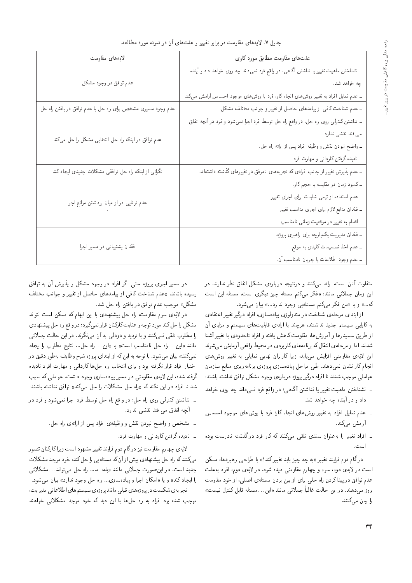| جدول ۷. لایههای مقاومت در برابر تغییر و علتهای آن در نمونه مورد مطالعه. |  |  |  |  |  |  |
|-------------------------------------------------------------------------|--|--|--|--|--|--|
|-------------------------------------------------------------------------|--|--|--|--|--|--|

| لايەهاى مقاومت                                               | علت های مقاومت مطابق مورد کاوی                                                        |  |  |  |  |
|--------------------------------------------------------------|---------------------------------------------------------------------------------------|--|--|--|--|
|                                                              | ــ نشناختن ماهیت تغییر یا نداشتن آگاهی، در واقع فرد نسیداند چه روی خواهد داد و آینده  |  |  |  |  |
| عدم توافق در وجود مشکل                                       | چه خواهد شد.                                                                          |  |  |  |  |
|                                                              | ــ عدم تمایل افراد به تغییر روش های انجام کار، فرد با روش۵ای موجود احساس آرامش میکند. |  |  |  |  |
| عدم وجود مسیری مشخص برای راه حل یا عدم توافق در یافتن راه حل | ـ عدم شناخت کافی از پیامدهای حاصل از تغییر و جوانب مختلف مشکل.                        |  |  |  |  |
|                                                              | ــ نداشتن کنترلمی روی راه حل، در واقع راه حل توسط فرد اجرا نسیشود و فرد در آنچه اتفاق |  |  |  |  |
| عدم توافق در اینکه راه حل انتخابی مشکل را حل میکند           | میافتد نقشی ندارد.                                                                    |  |  |  |  |
|                                                              | ـ واضح نبودن نقش و وظيفه افراد پس از ارائه راه حل.                                    |  |  |  |  |
|                                                              | ـ نادیده گرفتن کاردانی و مهارت فرد.                                                   |  |  |  |  |
| نگرانی از اینکه راه حل توافقی مشکلات جدیدی ایجاد کند         | ـ عدم پذیرش تغییر از جانب افرادی که تجربههای ناموفق در تغییرهای گذشته داشتهاند.       |  |  |  |  |
|                                                              | _ کمبود زمان در مقایسه با حجم کار.                                                    |  |  |  |  |
| عدم توانایی در از میان برداشتن موانع اجرا                    | ـ عدم استفاده از تیمی شایسته برای اجرای تغییر.                                        |  |  |  |  |
|                                                              | ـ فقدان منابع لازم براى اجراى مناسب تغيير                                             |  |  |  |  |
|                                                              | ـ اقدام به تغییر در موقعیت زمانی نامناسب                                              |  |  |  |  |
|                                                              | ـ فقدان مديريت يکپارچه برای راهبری پروژه.                                             |  |  |  |  |
| فقدان پشتیبانی در مسیر اجرا                                  | ـ عدم اخذ تصمیمات کلیدی به موقع.                                                      |  |  |  |  |
|                                                              | ـ عدم وجود اطلاعات يا جريان نامناسب آن.                                               |  |  |  |  |

متفاوت آنان است، ارائه میکنند و درنتیجه دربارهی مشکل اتفاق نظر ندارند. در این زمان جملاتی مانند: «فکر میکنم مسئله چیز دیگری است، مسئله این است كه...» ويا «من فكر مى كنم مسئله يى وجود ندارد...» بيان مى شود.

از ابتدای مرحلهی شناخت در متدولوژی پیادهسازی، افراد درگیر تغییر اعتقادی به كارايي سيستم جديد نداشتند، هرچند با ارائهى قابليتهاى سيستم و مزاياى آن از طریق سمینارها و آموزش ها، مقاومت کاهش یافته و افراد تاحدودی با تغییر آشنا شدند. اما از مرحلهي انتقال كه برنامههاي كار بردي در محيط واقعى أزمايش مىشوند این لایهی مقاومتی افزایش می یابد، زیرا کاربران نهایی تمایلی به تغییر روش های انجام کار نشان نمی0هند. طی مراحل پیادهسازی پروژهی برنامهریزی منابع سازمان عواملي موجب شدند تا افراد درگير پروژه دربارهى وجود مشكل توافق نداشته باشند:

- ـ نشناختن ماهيت تغيير يا نداشتن أگاهي؛ در واقع فرد نميءاند چه روى خواهد داد و در آینده چه خواهد شد.
- = عدم تمايل افراد به تغيير روشهاى انجام كار؛ فرد با روشهاى موجود احساس آرامش مے کند.
- \_ افراد تغییر را به عنوان سندی تلقی میکنند که کار فرد در گذشته نادرست بوده است.

درگام دوم فرایند تغییر «به چه چیز باید تغییرکند؟» یا طراحی راهبردها، ممکن است در لایهی دوم، سوم و چهارم مقاومتی دیده شود. در لایهی دوم، افراد به علت عدم توافق در پیداکردن راه حلبی برای از بین بردن مسئلهی اصلبی، از خود مقاومت بروز میدهند. در این حالت غالباً جملاتی مانند «این….مسئله قابل کنترل نیست» را بيان مى كنند.

در مسیر اجرای پروژه حتبی اگر افراد در وجود مشکل و پذیرش آن به توافق رسیده باشند، «عدم شناخت کافی از پیامدهای حاصل از تغییر و جوانب مختلف مشكل» موجب عدم توافق در يافتن راه حل شد.

در لایهی سوم مقاومت، راه حل پیشنهادی با این ابهام که ممکن است نتواند مشكل را حل كند مورد توجه و عنايت كاركنان قرار نمى گيرد؛ درواقع راه حل پيشنهادي را مطلوب تلقی نمیکنند و با تردید و دودلی به آن می نگرند. در این حالت جملاتی مانند «اين...راه حل نامناسب است» يا «اين...راه حل... نتايج مطلوب را ايجاد نميكند» بيان مي شود. با توجه به اين كه از ابتداى پروژه شرح وظايف بهطور دقيق در اختیار افراد قرار نگرفته بود و برای انتخاب راه حلها کاردانی و مهارت افراد نادیده گرفته شده، این لایهی مقاومتی در مسیر پیادهسازی وجود داشت. عواملی که سبب شد تا افراد در این نکته که «راه حل مشکلات را حل میکند» توافق نداشته باشند:

- نداشتن کنترل<sub>ی</sub> روی راه حل؛ در واقع راه حل توسط فرد اجرا نمیشود و فرد در آنچه اتفاق می|فتد نقشی ندارد.
	- ـ مشخص و واضح نبودن نقش و وظیفهی افراد پس از ارائهی راه حل.
		- ـ نادیده گرفتن کاردانی و مهارت فرد.

لایهی چهارم مقاومت نیز درگام دوم فرایند تغییر مشهود است زیراکارکنان تصور می کنند که راه حل پیشنهادی بیش از آن که مسئله یی را حل کند، خود موجد مشکلات جدید است. در این صورت جملاتی مانند «بله، اما… راه حل می تواند… مشکلاتی را ايجاد كند» و يا «امكان اجرا و پيادهسازى... راه حل وجود ندارد» بيان مى شود. تجر به ی شکست در پروژه های قبلی مانند پروژه ی سیستم های اطلاعاتی مدیریت، موجب شده بود افراد به راه حلها با این دید که خود موجد مشکلاتی خواهند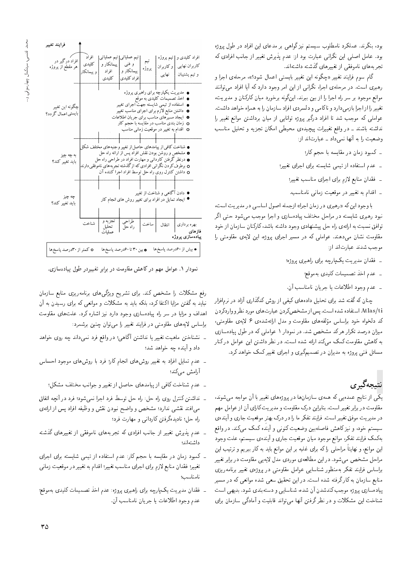گام سوم فرایند تغییر «چگونه این تغییر بایستی اعمال شود؟»، مرحلهی اجرا و رهبری است. در مرحلهی اجرا، نگرانی از این امر وجود دارد که آیا افراد می توانند موانع موجود بر سر راه اجرا را از بین ببرند. اینگونه برخورد میان کارکنان و مدیریت، تغییر را از اجرا بازمیدارد و ناکامی و دلسردی افراد سازمان را به همراه خواهد داشت. عواملی که موجب شد تا افراد درگیر پروژه توانایی از میان برداشتن موانع تغییر را نداشته باشند ـ در واقع تغییرات پیچیدهی محیطی امکان تجزیه و تحلیل مناسب وضعیت را به آنها نمی داد ـ عبارتاند از:

- ۔ کمبود زمان در مقایسه با حجم کار؛
- ۔ عدم استفاده از تیمی شایسته برای اجرای تغییر؛
	- ۔ فقدان منابع لازم برای اجرای مناسب تغییر؛
	- ـ اقدام به تغییر در موقعیت زمانی نامناسب.

با وجود این که «رهبری در زمان اجرا» ازجمله اصول اساسی در مدیریت است، نبود رهبري شايسته در مراحل مختلف پيادهسازي و اجرا موجب مي شود حتى اگر توافق نسبت به ارائهى راه حل پیشنهادى وجود داشته باشد، كاركنان سازمان از خود مقاومت نشان میدهند. عواملی که در مسیر اجرای پروژه، این لایهی مقاومتی را موحب شدند عبارتاند از:

- ۔ فقدان مدیریت یکپارچه برای راهبری پروژه؛
	- ۔ عدم اخذ تصمیمات کلیدی بهموقع؛
- ۔ عدم وجود اطلاعات یا جریان نامناسب آن.

چنان که گفته شد برای تحلیل دادههای کیفی از روش کدگذاری آزاد در نرمافزار Atlas/ti استفاده شده است. پس از مشخص كردن عبارت هاي مورد نظرو واردكردن کد دلخواه خود براساس مؤلفههای مقاومت و مدل ارائهشدهی ۶ لایهی مقاومتی، میزان درصد تکرار هرکد مشخص شد. در نمودار ۱ عواملی که در طول پیادهسازی به کاهش مقاومت کمک میکند ارائه شده است. در نظر داشتن این عوامل در کنار مسائل فنبی پروژه به مدیران در تصمیمگیری و اجرای تغییر کمک خواهد کرد.

# نتىچەگىرى

یکمی از نتایج عمده یی که همهی سازمانها در پروژههای تغییر با آن مواجه می شوند، مقاومت در برابر تغییر است. بنابراین درک مقاومت و مدیریت کارای آن از عوامل مهم در مدیریت موفق تغییر است. فرایند تفکر ما را در درک بهتر موقعیت جاری و آیندهی سیستم خود، و نیز کاهش فاصلهبین وضعیت کنونی و آینده کمک می کند. در واقع بهکمک فرایند تفکر، موانع موجود میان موقعیت جاری و آیندهی سیستم، علت وجود این موانع، و نهایتاً مراحلبی راکه برای غلبه بر این موانع باید به کار ببریم و ترتیب این مراحل مشخص می شود. در این مطالعهی موردی مدل لایهیی مقاومت در برابر تغییر براساس فرايند تفكر بهمنظور شناسايي عوامل مقاومتى در پروژەى تغيير برنامەريزى منابع سازمان به کارگرفته شده است. در این تحقیق سعی شده موانعی که در مسیر پیادهسازی پروژه موجب کندشدن آن شده، شناسایی و دستهبندی شود. بدیهی است شناخت این مشکلات و در نظرگرفتن أنها میتواند قابلیت و آمادگی سازمان برای

| افراد درگیر در<br>هر مقطع از پروژه    | افراد<br>كلبدى<br>و ييمانكار | تيم عملياتي<br>پیمانکار و<br>افراد<br>كلىدى | تیم عملیاتی<br>و فنی<br>ييمانكار و<br>افر اد کلیدی                                                                                                                                                                                                                                                   | تيم<br>پروژه | تيم پروژه<br>و کاربران<br>نهایی                                   | افراد کلیدی و<br>كاربران نهايي<br>و تيم پشتيبان                     |
|---------------------------------------|------------------------------|---------------------------------------------|------------------------------------------------------------------------------------------------------------------------------------------------------------------------------------------------------------------------------------------------------------------------------------------------------|--------------|-------------------------------------------------------------------|---------------------------------------------------------------------|
| چگونه اين تغيير<br>بايستي اعمال گردد؟ |                              |                                             | ● استفاده از تیمی شایسته جهت اجرای تغییر<br>● داشتن منابع لازم براي اجراي مناسب تغيير<br><b>0</b> ایجاد مسیرهای مناسب برای جریان اطلاعات<br>o زمان بندی مناسب در مقایسه با حجم کار<br>o  اقدام به تغییر در موقعیت زمانبی مناسب                                                                       |              | ● مدیریت یکپارچه برای راهبری پروژه<br>● اخذ تصمیمات کلیدی به موقع |                                                                     |
| به چه چیز<br>بايد تغيير كند؟          |                              |                                             | ● شناخت کافی از پیامدهای حاصل از تغییر وجنبه های مختلف شکل<br>● مشخص و روشن بودن نقش افراد پس از ارائه راه حل<br><b>۰</b> درنظر گرفتن کاردانی و مهارت افراد در طراحی راه حل<br>o برطرف کر دن نگر انی افرادی که از گذشته تجربه های ناموفقی دارند<br>o داشتن کنترل روی راه حل توسط افراد اجرا کننده آن |              |                                                                   |                                                                     |
| چه چیز<br>بايد تغيير كند؟             |                              |                                             | ♦ ایجاد تمایل در افراد برای تغییر روش های انجام کار                                                                                                                                                                                                                                                  |              | ♦ دادن آگاهي و شناخت از تغيير                                     |                                                                     |
| o کمتر از ۳۰درصد پاسخ۵                | شناخت                        | تجزيه و<br>تحليل<br>عملىات                  | طراحبي<br>راه حل<br><b>o</b> بین ۳۰ تا ۶۰درصد پاسخها                                                                                                                                                                                                                                                 | ساخت         | انتقال                                                            | بهره برداري<br>فاز های<br>پيادەسازى پروژە<br>● بیش از ۶۰درصد پاسخ۵ا |

نمودار ۱. عوامل مهم درکاهش مقاومت در برابر تغییردر طول پیادهسازی.

رفع مشکلات را مشخص کند. برای تشریح ویژگیهای برنامهریزی منابع سازمان نباید به گفتن مزایا اکتفا کرد. بلکه باید به مشکلات و موانعی که برای رسیدن به آن اهداف و مزایا در سر راه پیادهسازی وجود دارد نیز اشاره کرد. علتهای مقاومت براساس لایههای مقاومتی در فرایند تغییر را می;توان چنین برشمرد:

- ۔ نشناختن ماهیت تغییر یا نداشتن آگاهی؛ در واقع فرد نمبے داند حه روی خواهد داد و آینده چه خواهد شد؛
- ۔ عدم تمایل افراد به تغییر روشهای انجام کار؛ فرد با روشهای موجود احساس آرامش مى كند؛
	- ـ عدم شناخت کافی از پیامدهای حاصل از تغییر و جوانب مختلف مشکل؛
- ـ نداشتن كنترل روى راه حل: راه حل توسط فرد اجرا نمى شود؛ فرد در أنچه اتفاق میافتد نقشی ندارد؛ مشخص و واضح نبودن نقش و وظیفه افراد پس از ارائهی راه حل؛ نادیدهگرفتن کاردانی و مهارت فرد؛
- ۔ عدم پذیرش تغییر از جانب افرادی که تجربههای ناموفقی از تغییرهای گذشته داشتهاند؛
- \_ کمبود زمان در مقایسه با حجم کار: عدم استفاده از تیمی شایسته برای اجرای تغییر؛ فقدان منابع لازم برای اجرای مناسب تغییر؛ اقدام به تغییر در موقعیت زمانی نامناسب؛
- ـ فقدان مديريت يك\$رچه براى راهبرى پروژه: عدم اخذ تصميمات كليدى بهموقع؛ عدم وجود اطلاعات يا جريان نامناسب أن.

فرايند تغير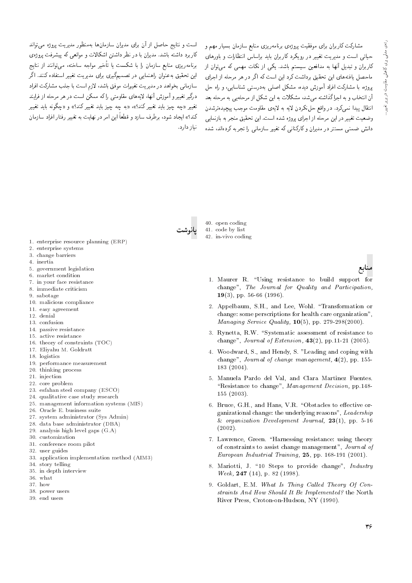مشارکت کاربران برای موفقیت پروژهی برنامهریزی منابع سازمان بسیار مهم و حیاتی است و مدیریت تغییر در رویکرد کاربران باید براساس انتظارات و باورهای کاربران و تبدیل آنها به مدافعین سیستم باشد. یکی از نکات مهمی که می،توان از ماحصل یافتههای این تحقیق برداشت کرد این است که اگر در هر مرحله از اجرای یروژه، با مشارکت افراد آموزش دیده، مشکل اصلی بهدرستی شناسایی، و راه حل ۔<br>آن انتخاب و به اجرا گذاشته مے,شد، مشکلات به این شکل از مرحله بے, به مرحله بعد انتقال پیدا نمی کرد. در واقع حل نکردن لایه به لایهی مقاومت موجب پیچیدهترشدن وضعت تغيير در اين مرحله از احراي بروژه شده است. اين تحقيق منجر به بازنمايي دانش ضمنی مستتر در مدیران و کارکنانی که تغییر سازمانی را تجربه کردهاند، شده

است و نتایج حاصل از آن برای مدیران سازمانها بهمنظور مدیریت پروژه مه,تواند کاربرد داشته باشد. مدیران با در نظر داشتن اشکالات و موانعی که پیشرفت بروژه، برنامەریزی منابع سازمان را با شکست یا تأخیر مواجه ساخته، می توانند از نتایج این تحقیق بهعنوان راهنمایی در تصمیمگیری برای مدیریت تغییر استفاده کنند. اگر سازمانی بخواهد در مدیریت تغییرات موفق باشد، لازم است با جلب مشارکت افراد درگیر تغییر و آموزش آنها، لایههای مقاومتی راکه ممکن است در هر مرحله از فرایند تغییر «چه چیز باید تغییرکند؟»، «به چه چیز باید تغییرکند؟» و «چگونه باید تغییر کند؟» ایجاد شود، برطرف سازد و قطعاً این امر در نهایت به تغییر رفتار افراد سازمان نیاز دارد.



40. open coding 41. code by list 42. in-vivo coding

- 1. enterprise resource planning (ERP)
- 2. enterprise systems
- 3. change barriers
- 4. inertia
- 5. government legislation
- 6. market condition
- 7. in your face resistance 8. immediate criticism
- $9.$ sabotage
- 10. malicious compliance
- 11. easy agreement
- 12. denial
- 13. confusion
- 14. passive resistance
- 15. active resistance
- 16. theory of constraints (TOC)
- 17. Eliyahu M. Goldratt
- 18. logistics
- 19. performance measurement
- 20. thinking process
- 21. injection
- 22. core problem
- 23. esfahan steel company (ESCO)
- 24. qualitative case study research
- 25. management information systems (MIS)
- 26. Oracle E. business suite
- 27. system administrator (Sys Admin)
- 28. data base administrator (DBA)
- 29. analysis high level gaps (G.A)
- 30. customization
- 31. conference room pilot 32. user guides
- 33. application implementation method (AIM3)
- 34. story telling
- 35. in depth interview
- 36. what
- $37 \text{how}$
- 38. power users
- 39. end users
- 1. Maurer R. "Using resistance to build support for change", The Journal for Quality and Participation,  $19(3)$ , pp. 56-66 (1996).
- 2. Appelbaum, S.H., and Lee, Wohl. "Transformation or change: some perscriptions for health care organization", Managing Service Quality,  $10(5)$ , pp. 279-298(2000).
- 3. Rynetta, R.W. "Systematic assessment of resistance to change", *Journal of Extension*,  $43(2)$ , pp. 11-21 (2005).
- 4. Woodward, S., and Hendy, S. "Leading and coping with change", Journal of change management,  $4(2)$ , pp. 155- $183(2004).$
- 5. Manuela Pardo del Val, and Clara Martinez Fuentes. "Resistance to change", Management Decision, pp.148- $155(2003)$ .
- 6. Bruce, G.H., and Hans, V.R. "Obstacles to effective organizational change: the underlying reasons", Leadership & organization Development Journal,  $23(1)$ , pp. 5-16  $(2002).$
- 7. Lawrence, Green. "Harnessing resistance: using theory of constraints to assist change management", Journal of European Industrial Training, 25, pp. 168-191 (2001).
- 8. Mariotti, J. "10 Steps to provide change", Industry Week, 247 (14), p. 82 (1998).
- 9. Goldart, E.M. What Is Thing Called Theory Of Constraints And How Should It Be Implemented? the North River Press, Croton-on-Hudson, NY (1990).